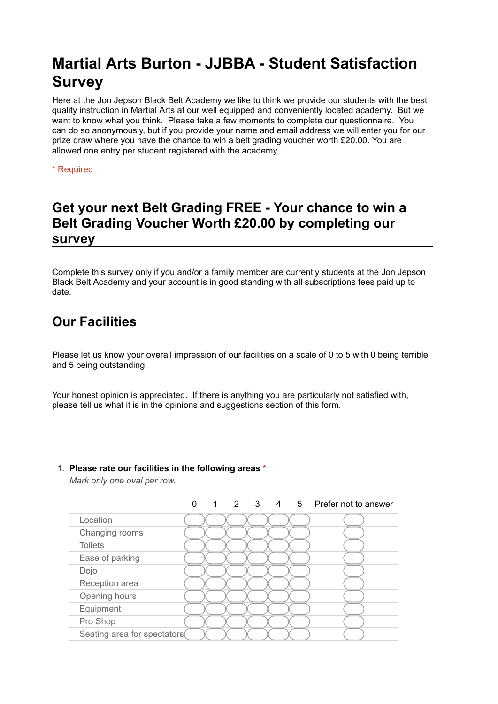# **Martial Arts Burton - JJBBA - Student Satisfaction Survey**

Here at the Jon Jepson Black Belt Academy we like to think we provide our students with the best quality instruction in Martial Arts at our well equipped and conveniently located academy. But we want to know what you think. Please take a few moments to complete our questionnaire. You can do so anonymously, but if you provide your name and email address we will enter you for our prize draw where you have the chance to win a belt grading voucher worth £20.00. You are allowed one entry per student registered with the academy.

\* Required

# **Get your next Belt Grading FREE - Your chance to win a Belt Grading Voucher Worth £20.00 by completing our survey**

Complete this survey only if you and/or a family member are currently students at the Jon Jepson Black Belt Academy and your account is in good standing with all subscriptions fees paid up to date.

# **Our Facilities**

Please let us know your overall impression of our facilities on a scale of 0 to 5 with 0 being terrible and 5 being outstanding.

Your honest opinion is appreciated. If there is anything you are particularly not satisfied with, please tell us what it is in the opinions and suggestions section of this form.

## 1. **Please rate our facilities in the following areas \***

*Mark only one oval per row.*

|                              | 1 |  |  | 2 3 4 5 Prefer not to answer |
|------------------------------|---|--|--|------------------------------|
| Location                     |   |  |  |                              |
| Changing rooms               |   |  |  |                              |
| <b>Toilets</b>               |   |  |  |                              |
| Ease of parking              |   |  |  |                              |
| Dojo                         |   |  |  |                              |
| Reception area               |   |  |  |                              |
| Opening hours                |   |  |  |                              |
| Equipment                    |   |  |  |                              |
| Pro Shop                     |   |  |  |                              |
| Seating area for spectators( |   |  |  |                              |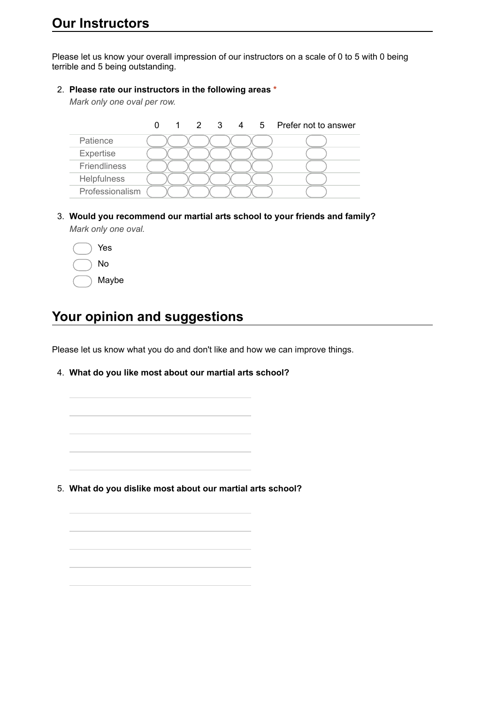Please let us know your overall impression of our instructors on a scale of 0 to 5 with 0 being terrible and 5 being outstanding.

### 2. **Please rate our instructors in the following areas \***

*Mark only one oval per row.*

|                     |  |  |  | 2 3 4 5 Prefer not to answer |
|---------------------|--|--|--|------------------------------|
| Patience            |  |  |  |                              |
| Expertise           |  |  |  |                              |
| <b>Friendliness</b> |  |  |  |                              |
| Helpfulness         |  |  |  |                              |
| Professionalism     |  |  |  |                              |

- 3. **Would you recommend our martial arts school to your friends and family?** *Mark only one oval.*
	- Yes No Maybe

# **Your opinion and suggestions**

Please let us know what you do and don't like and how we can improve things.

4. **What do you like most about our martial arts school?**

5. **What do you dislike most about our martial arts school?**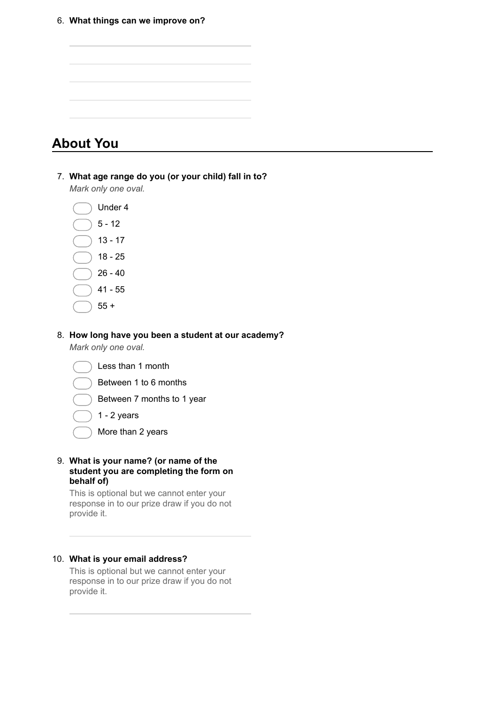

#### 8. **How long have you been a student at our academy?**

*Mark only one oval.*



- 1 2 years
- More than 2 years
- 9. **What is your name? (or name of the student you are completing the form on behalf of)**

This is optional but we cannot enter your response in to our prize draw if you do not provide it.

### 10. **What is your email address?**

This is optional but we cannot enter your response in to our prize draw if you do not provide it.